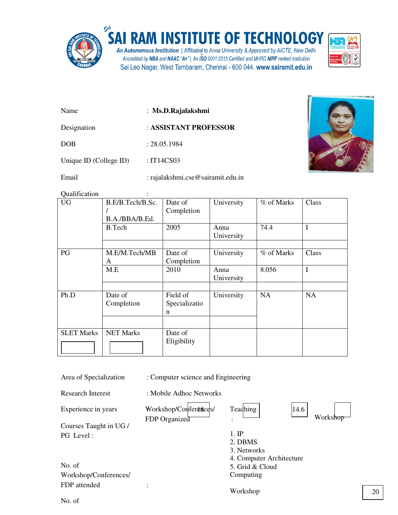

## **SAI RAM INSTITUTE OF TECHNOLOGY**

An Autonomous Institution | Affiliated to Anna University & Approved by AICTE, New Delhi Accredited by NBA and NAAC "A+" | An ISO 9001:2015 Certified and MHRD NIRF ranked institution Sai Leo Nagar, West Tambaram, Chennai - 600 044. www.sairamit.edu.in



- Name : **Ms.D.Rajalakshmi**
- Designation : **ASSISTANT PROFESSOR**

DOB : 28.05.1984

Unique ID (College ID) : IT14CS03

Email : rajalakshmi.cse@sairamit.edu.in



Qualification :

| <b>UG</b>         | B.E/B.Tech/B.Sc. | Date of       | University | % of Marks | Class       |
|-------------------|------------------|---------------|------------|------------|-------------|
|                   |                  | Completion    |            |            |             |
|                   | B.A./BBA/B.Ed.   |               |            |            |             |
|                   | B.Tech           | 2005          | Anna       | 74.4       | $\mathbf I$ |
|                   |                  |               | University |            |             |
|                   |                  |               |            |            |             |
| PG                | M.E/M.Tech/MB    | Date of       | University | % of Marks | Class       |
|                   | A                | Completion    |            |            |             |
|                   | M.E              | 2010          | Anna       | 8.056      | $\mathbf I$ |
|                   |                  |               | University |            |             |
|                   |                  |               |            |            |             |
| Ph.D              | Date of          | Field of      | University | <b>NA</b>  | <b>NA</b>   |
|                   | Completion       | Specializatio |            |            |             |
|                   |                  | n             |            |            |             |
|                   |                  |               |            |            |             |
| <b>SLET Marks</b> | <b>NET Marks</b> | Date of       |            |            |             |
|                   |                  | Eligibility   |            |            |             |
|                   |                  |               |            |            |             |
|                   |                  |               |            |            |             |

Area of Specialization : Computer science and Engineering

Research Interest : Mobile Adhoc Networks

Experience in years

Courses Taught in UG / PG Level :

No. of Workshop/Conferences/ FDP attended :

Workshop/Conferences/ FDP Organized :

**Teaching** 

Worksho 14.6

1. IP 2. DBMS

- 3. Networks
- 4. Computer Architecture
- 5. Grid & Cloud
- Computing

Workshop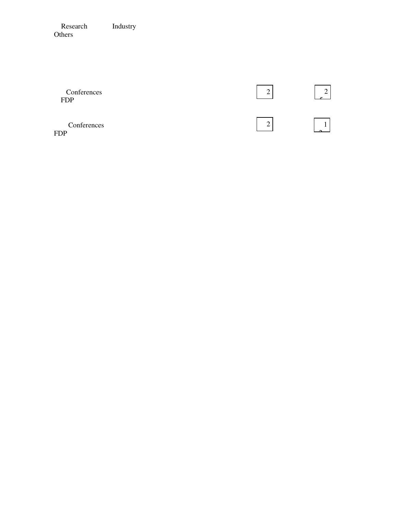Research Industry Others

| Conferences<br><b>FDP</b> | ◠ |  |
|---------------------------|---|--|
| Conferences<br><b>FDP</b> | ∸ |  |